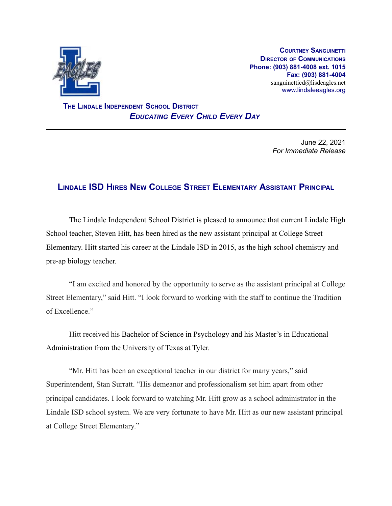

**COURTNEY SANGUINETTI DIRECTOR OF COMMUNICATIONS Phone: (903) 881-4008 ext. 1015 Fax: (903) 881-4004** sanguinetticd@lisdeagles.net www.lindaleeagles.org

**THE LINDALE INDEPENDENT SCHOOL DISTRICT** *EDUCATING EVERY CHILD EVERY DAY*

> June 22, 2021 *For Immediate Release*

## **LINDALE ISD HIRES NEW COLLEGE STREET ELEMENTARY ASSISTANT PRINCIPAL**

The Lindale Independent School District is pleased to announce that current Lindale High School teacher, Steven Hitt, has been hired as the new assistant principal at College Street Elementary. Hitt started his career at the Lindale ISD in 2015, as the high school chemistry and pre-ap biology teacher.

"I am excited and honored by the opportunity to serve as the assistant principal at College Street Elementary," said Hitt. "I look forward to working with the staff to continue the Tradition of Excellence."

Hitt received his Bachelor of Science in Psychology and his Master's in Educational Administration from the University of Texas at Tyler.

"Mr. Hitt has been an exceptional teacher in our district for many years," said Superintendent, Stan Surratt. "His demeanor and professionalism set him apart from other principal candidates. I look forward to watching Mr. Hitt grow as a school administrator in the Lindale ISD school system. We are very fortunate to have Mr. Hitt as our new assistant principal at College Street Elementary."